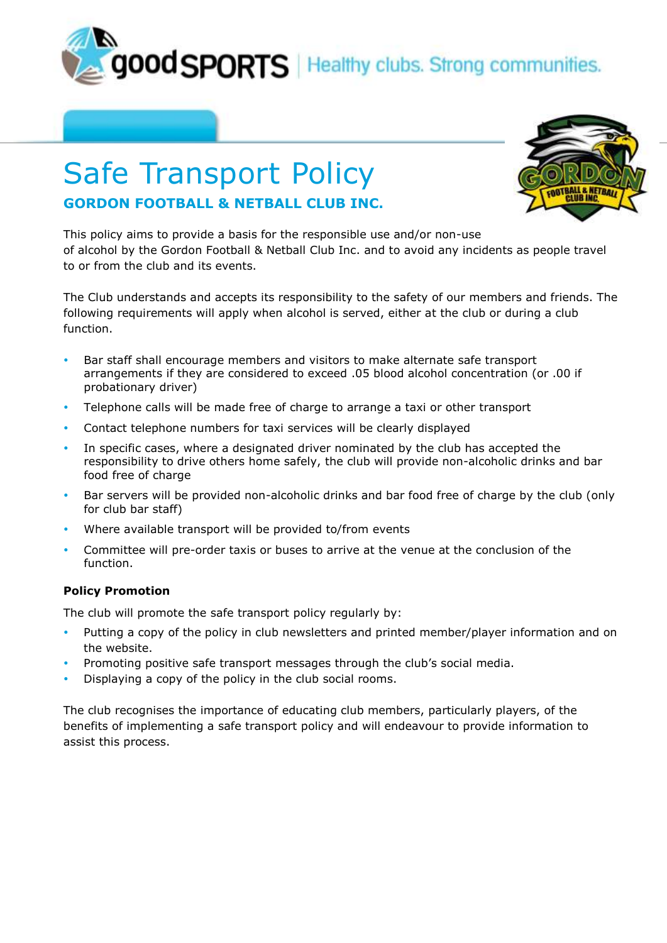good SPORTS | Healthy clubs. Strong communities.

## Safe Transport Policy **GORDON FOOTBALL & NETBALL CLUB INC.**



This policy aims to provide a basis for the responsible use and/or non-use of alcohol by the Gordon Football & Netball Club Inc. and to avoid any incidents as people travel to or from the club and its events.

The Club understands and accepts its responsibility to the safety of our members and friends. The following requirements will apply when alcohol is served, either at the club or during a club function.

- Bar staff shall encourage members and visitors to make alternate safe transport arrangements if they are considered to exceed .05 blood alcohol concentration (or .00 if probationary driver)
- Telephone calls will be made free of charge to arrange a taxi or other transport
- Contact telephone numbers for taxi services will be clearly displayed
- In specific cases, where a designated driver nominated by the club has accepted the responsibility to drive others home safely, the club will provide non-alcoholic drinks and bar food free of charge
- Bar servers will be provided non-alcoholic drinks and bar food free of charge by the club (only for club bar staff)
- Where available transport will be provided to/from events
- Committee will pre-order taxis or buses to arrive at the venue at the conclusion of the function.

## **Policy Promotion**

The club will promote the safe transport policy regularly by:

- Putting a copy of the policy in club newsletters and printed member/player information and on the website.
- Promoting positive safe transport messages through the club's social media.
- Displaying a copy of the policy in the club social rooms.

The club recognises the importance of educating club members, particularly players, of the benefits of implementing a safe transport policy and will endeavour to provide information to assist this process.